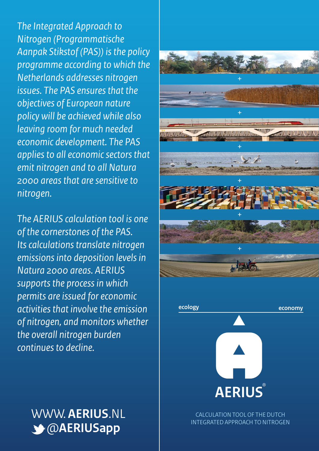*The Integrated Approach to Nitrogen (Programmatische Aanpak Stikstof (PAS)) is the policy programme according to which the Netherlands addresses nitrogen issues. The PAS ensures that the objectives of European nature policy will be achieved while also leaving room for much needed economic development. The PAS applies to all economic sectors that emit nitrogen and to all Natura 2000 areas that are sensitive to nitrogen.* 

*The AERIUS calculation tool is one of the cornerstones of the PAS. Its calculations translate nitrogen emissions into deposition levels in Natura 2000 areas. AERIUS supports the process in which permits are issued for economic activities that involve the emission of nitrogen, and monitors whether the overall nitrogen burden continues to decline.* 



### WWW. **AERIUS**.NL @**AERIUSapp**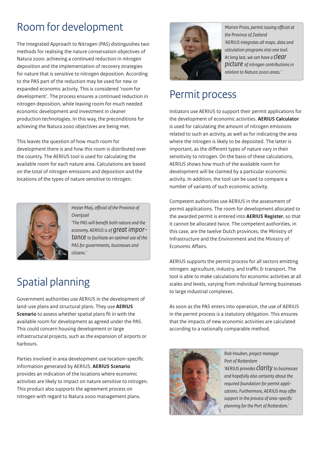### Room for development

The Integrated Approach to Nitrogen (PAS) distinguishes two methods for realising the nature conservation objectives of Natura 2000: achieving a continued reduction in nitrogen deposition and the implementation of recovery strategies for nature that is sensitive to nitrogen deposition. According to the PAS part of the reduction may be used for new or expanded economic activity. This is considered 'room for development'. The process ensures a continued reduction in nitrogen deposition, while leaving room for much needed economic development and investment in cleaner production technologies. In this way, the preconditions for achieving the Natura 2000 objectives are being met.

This leaves the question of how much room for development there is and how this room is distributed over the country. The AERIUS tool is used for calculating the available room for each nature area. Calculations are based on the total of nitrogen emissions and deposition and the locations of the types of nature sensitive to nitrogen.



**Hester Maij, official of the Province of** *Overijssel*

*'The PAS will benefit both nature and the economy. AERIUS is of great importance to facilitate an optimal use of the PAS for governments, businesses and citizens.'*

## Spatial planning

Government authorities use AERIUS in the development of land-use plans and structural plans. They use **AERIUS Scenario** to assess whether spatial plans fit in with the available room for development as agreed under the PAS. This could concern housing development or large infrastructural projects, such as the expansion of airports or harbours.

Parties involved in area development use location-specific information generated by AERIUS. **AERIUS Scenario**  provides an indication of the locations where economic activities are likely to impact on nature sensitive to nitrogen. This product also supports the agreement process on nitrogen with regard to Natura 2000 management plans.



*Marion Pross, permit issuing official at the Province of Zeeland 'AERIUS integrates all maps, data and calculation programs into one tool. At long last, we can have a clear picture of nitrogen contributions in relation to Natura 2000 areas.'*

#### Permit process

Initiators use AERIUS to support their permit applications for the development of economic activities. **AERIUS Calculator**  is used for calculating the amount of nitrogen emissions related to such an activity, as well as for indicating the area where the nitrogen is likely to be deposited. The latter is important, as the different types of nature vary in their sensitivity to nitrogen. On the basis of these calculations, AERIUS shows how much of the available room for development will be claimed by a particular economic activity. In addition, the tool can be used to compare a number of variants of such economic activity.

Competent authorities use AERIUS in the assessment of permit applications. The room for development allocated to the awarded permit is entered into **AERIUS Register**, so that it cannot be allocated twice. The competent authorities, in this case, are the twelve Dutch provinces, the Ministry of Infrastructure and the Environment and the Ministry of Economic Affairs.

AERIUS supports the permit process for all sectors emitting nitrogen: agriculture, industry, and traffic  $\delta$  transport. The tool is able to make calculations for economic activities at all scales and levels, varying from individual farming businesses to large industrial complexes.

As soon as the PAS enters into operation, the use of AERIUS in the permit process is a statutory obligation. This ensures that the impacts of new economic activities are calculated according to a nationally comparable method.



*Rob Houben, project manager*  Port of Rotterdam *'AERIUS provides clarity to businesses and hopefully also certainty about the required foundation for permit appli*cations. Furthermore, AERIUS may offer support in the process of area-specific planning for the Port of Rotterdam.'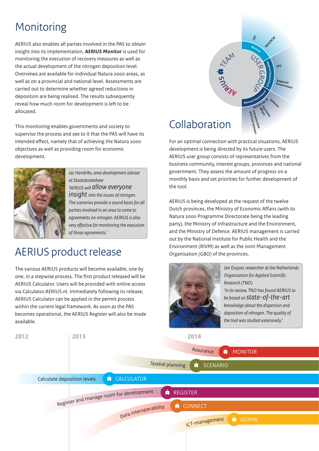## **Monitoring**

AERIUS also enables all parties involved in the PAS to obtain insight into its implementation. **AERIUS Monitor** is used for monitoring the execution of recovery measures as well as the actual development of the nitrogen deposition level. Overviews are available for individual Natura 2000 areas, as well as on a provincial and national level. Assessments are carried out to determine whether agreed reductions in deposition are being realised. The results subsequently reveal how much room for development is left to be allocated.

This monitoring enables governments and society to supervise the process and see to it that the PAS will have its intended effect, namely that of achieving the Natura 2000 objectives as well as providing room for economic development.



*Jac Hendriks, area development adviser at Staatsbosbeheer 'AERIUS will allow everyone insight into the issues of nitrogen. The scenarios provide a sound basis for all parties involved in an area to come to agreements on nitrogen. AERIUS is also very effective for monitoring the execution of those agreements.'* 

#### AERIUS product release

The various AERIUS products will become available, one by one, in a stepwise process. The first product released will be AERIUS Calculator. Users will be provided with online access via Calculator.AERIUS.nl. Immediately following its release, AERIUS Calculator can be applied in the permit process within the current legal framework. As soon as the PAS becomes operational, the AERIUS Register will also be made available.



### Collaboration

For an optimal connection with practical situations, AERIUS development is being directed by its future users. The AERIUS user group consists of representatives from the business community, interest groups, provinces and national government. They assess the amount of progress on a monthly basis and set priorities for further development of the tool.

AERIUS is being developed at the request of the twelve Dutch provinces, the Ministry of Economic Affairs (with its Natura 2000 Programme Directorate being the leading party), the Ministry of Infrastructure and the Environment, and the Ministry of Defence. AERIUS management is carried out by the National Institute for Public Health and the Environment (RIVM) as well as the Joint Management Organisation (GBO) of the provinces.



*Jan Duyzer, researcher at the Netherlands Organisation for Applied Scientic Research (TNO) 'In its review, TNO has found AERIUS to be based on state-of-the-art knowledge about the dispersion and deposition of nitrogen. The quality of the tool was studied extensively.'*